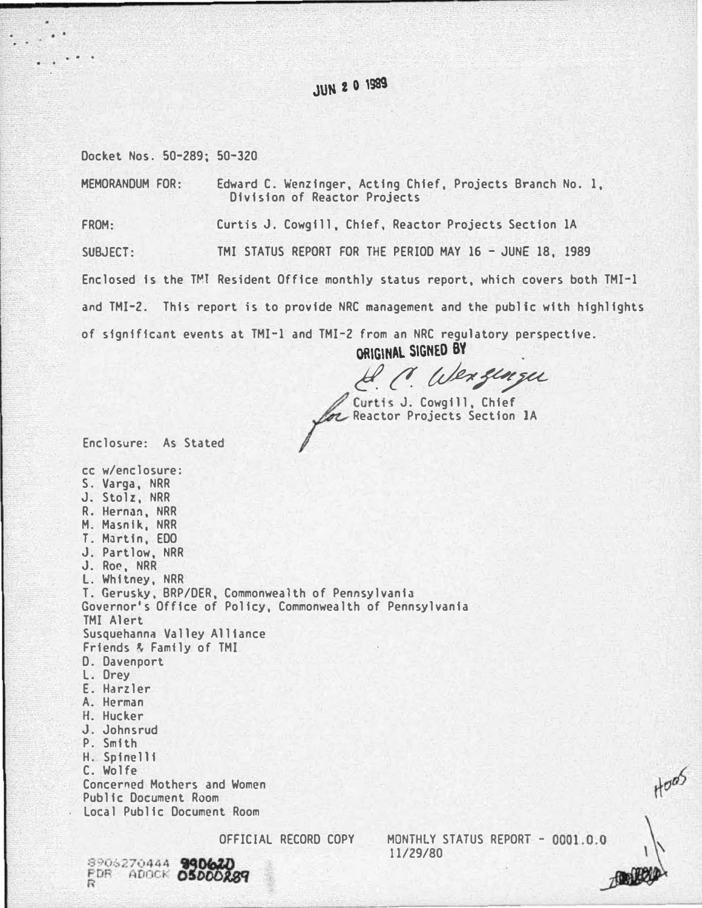# **JUN 2 0 1989**

Docket Nos. 50-289; 50-320

..

MEMORANDUM FOR: Edward C. Wenzinger, Acting Chief, Projects Branch No. 1, Division of Reactor Projects

FROM: Curtis J. Cowgill, Chief, Reactor Projects Section 1A

SUBJECT: TMI STATUS REPORT FOR THE PERIOD MAY 16 - JUNE 18, 1989

Enclosed is the T�T Resident Office monthly status report, which covers both TMI-1

and TMI-2. This report is to provide NRC management and the public with highlights

of significant events at TMI-1 and TMI-2 from an NRC regulatory perspective.

ORIGINAl. SIGNED BY

. Wer flure

Curtis J. Cowgill, Chief **Reactor Projects Section 1A** 

Enclosure: As Stated

cc w/enclosure: S. Varga, NRR J. Stolz, NRR R. Hernan, NRR M. Masnlk, NRR T. Martin, EDO J. Partlow, NRR J. Roc, NRR l. Whitney, NRR T. Gerusky, BRP/DER, Commonwealth of Pennsylvania Governor's Office of Policy, Commonwealth of Pennsylvania TMI Alert Susquehanna Valley Alliance Friends� Family of TMI D. Davenport L. Drey E. Harzler A. Herman H. Hucker J. Johnsrud P. Smith H. Spinelli C. Wolfe Concerned Mothers and Women Public Document Room Local Public Document Room

OFFICIAL RECORD COPY MONTHLY STATUS REPORT - 0001.0.0 11/29/80

�

 $H^{\sigma\sigma}$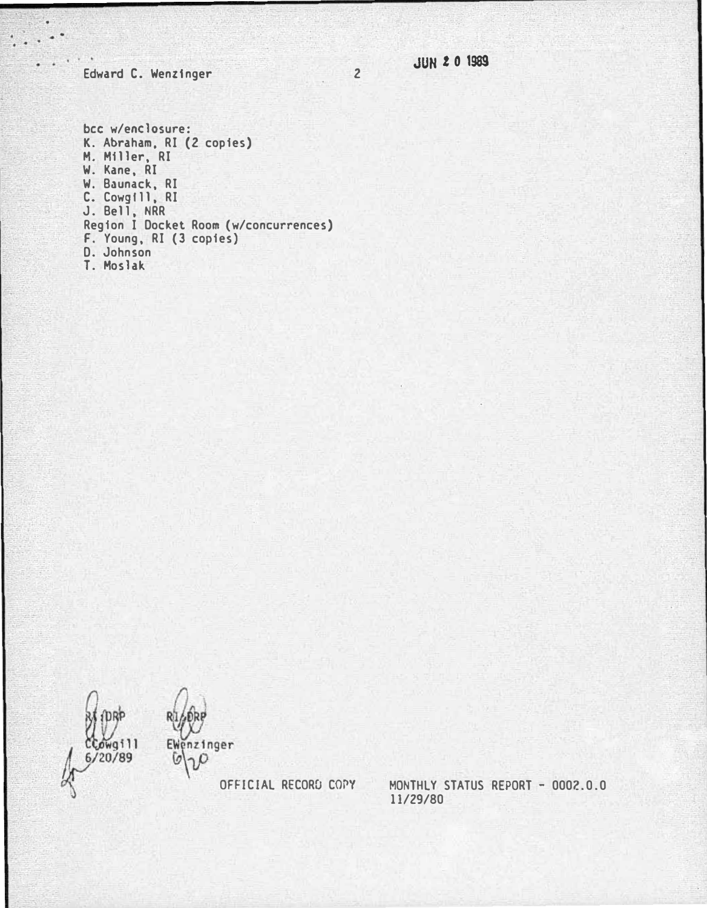2 JUN 2 0 1989

Edward C. Wenzinger

. .

bee w/enelosure: K. Abraham, RI (2 copies) M. Miller, RI W. Kane, RI W. Baunack, RI C. Cowgill, RI J. Bell, NRR Region I Docket Room (w/coneurrenees) F. Young, RI (3 copies) D. Johnson T. Moslak

**DRP**  $C$ Cowgill /20/89



�,.,p

OFFICIAL RECORD COPY

MONTHLY STATUS REPORT - 0002.0.0 11/29/80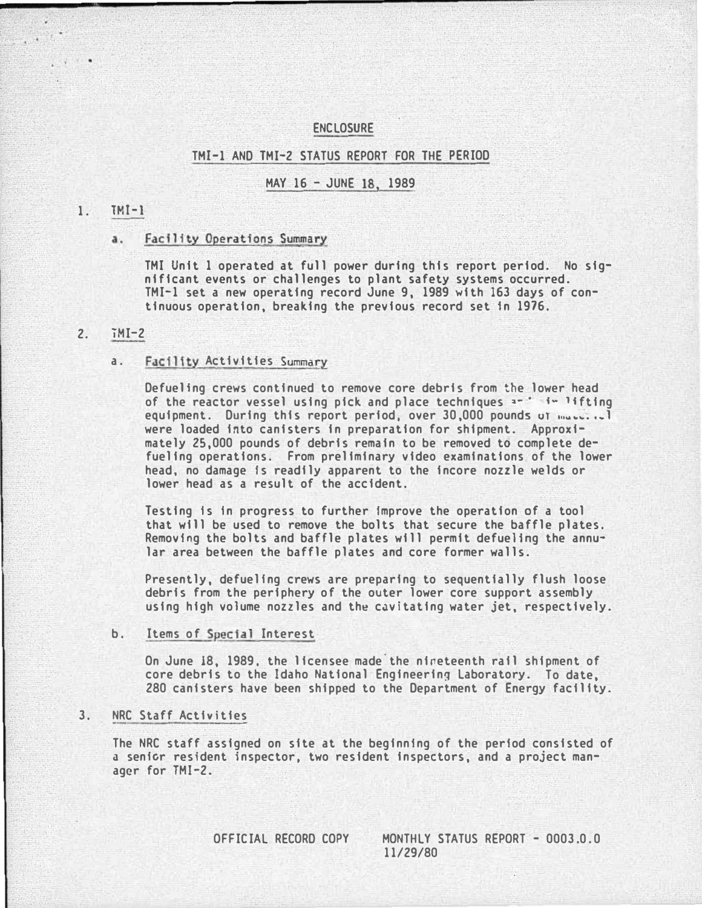### **ENCLOSURE**

#### TMI-1 AND TMI-2 STATUS REPORT FOR THE PERIOD

### MAY 16 - JUNE 18, 1989

#### 1. TMI-1

. .

#### a. Facility Operations Summary

TMI Unit 1 operated at full power during this report period. No significant events or challenges to plant safety systems occurred. TMI-1 set a new operating record June 9, 1989 with 163 days of continuous operation, breaking the previous record set In 1976.

#### 2. iMI-2

#### a. Facility Activities Summary

Defuelfng crews continued to remove core debris from the lower head of the reactor vessel using pick and place techniques  $1 - i - 1$  ifting equipment. During this report period, over  $30,000$  pounds ut  $m_{\text{u}}$ ,... were loaded into canisters in preparation for shipment. Approximately 25,000 pounds of debris remain to be removed to complete defueling operations. From preliminary video examinations of the lower head, no damage Is readily apparent to the incore nozzle welds or lower head as a result of the accident.

Testing Is In progress to further Improve the operation of a tool that will be used to remove the bolts that secure the baffle plates. Removing the bolts and baffle plates will permit defuelfng the annular area between the baffle plates and core former walls.

Presently, defuelfng crews are preparing to sequentially flush loose debris from the periphery of the outer lower core support assembly using high volume nozzles and the cavitating water jet, respectively.

#### b. Items of Special Interest

On June 18, 1989, the licensee made the nineteenth rail shipment of core debris to the Idaho National Engineering Laboratory. To date, 280 canisters have been shipped to the Department of Energy facility.

#### 3. NRC Staff Activities

The NRC staff assigned on site at the beginning of the period consisted of a senfcr resident inspector, two resident inspectors, and a project manager for TMI-2.

OFFICIAL RECORD COPY MONTHLY STATUS REPORT - 0003.0.0 11/29/80